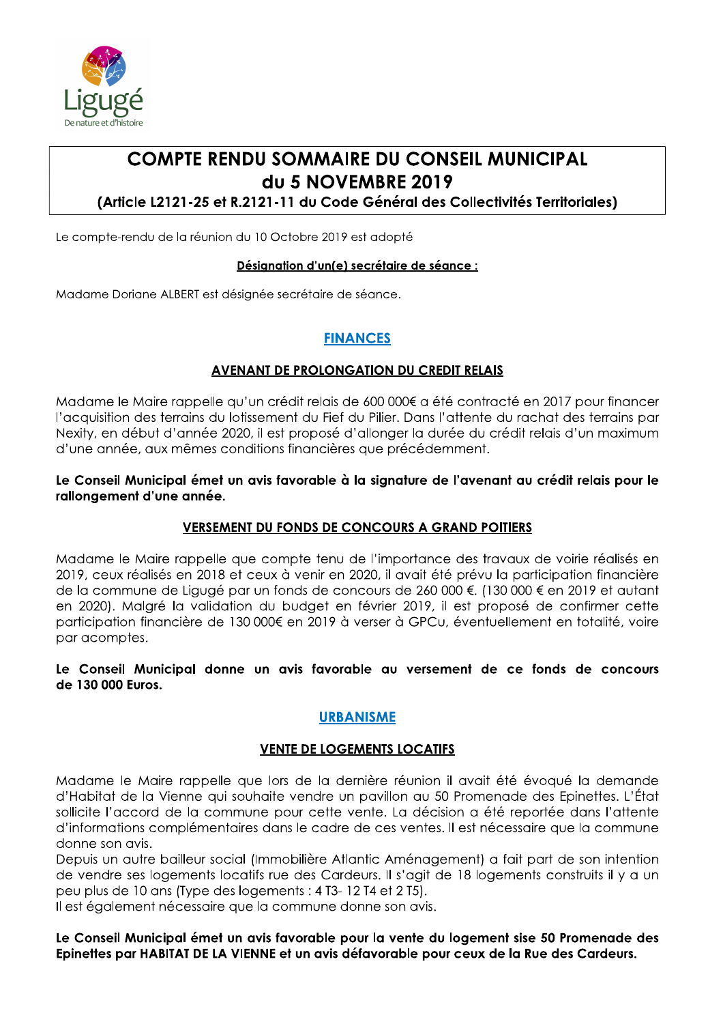

# **COMPTE RENDU SOMMAIRE DU CONSEIL MUNICIPAL** du 5 NOVEMBRE 2019

(Article L2121-25 et R.2121-11 du Code Général des Collectivités Territoriales)

Le compte-rendu de la réunion du 10 Octobre 2019 est adopté

#### Désignation d'un(e) secrétaire de séance :

Madame Doriane ALBERT est désignée secrétaire de séance.

## **FINANCES**

### **AVENANT DE PROLONGATION DU CREDIT RELAIS**

Madame le Maire rappelle qu'un crédit relais de 600 000€ a été contracté en 2017 pour financer l'acquisition des terrains du lotissement du Fief du Pilier. Dans l'attente du rachat des terrains par Nexity, en début d'année 2020, il est proposé d'allonger la durée du crédit relais d'un maximum d'une année, aux mêmes conditions financières que précédemment.

### Le Conseil Municipal émet un avis favorable à la signature de l'avenant au crédit relais pour le rallongement d'une année.

### **VERSEMENT DU FONDS DE CONCOURS A GRAND POITIERS**

Madame le Maire rappelle que compte tenu de l'importance des travaux de voirie réalisés en 2019, ceux réalisés en 2018 et ceux à venir en 2020, il avait été prévu la participation financière de la commune de Ligugé par un fonds de concours de 260 000 €. (130 000 € en 2019 et autant en 2020). Malgré la validation du budget en février 2019, il est proposé de confirmer cette participation financière de 130 000€ en 2019 à verser à GPCu, éventuellement en totalité, voire par acomptes.

Le Conseil Municipal donne un avis favorable au versement de ce fonds de concours de 130 000 Euros.

## **URBANISME**

### **VENTE DE LOGEMENTS LOCATIFS**

Madame le Maire rappelle que lors de la dernière réunion il avait été évoqué la demande d'Habitat de la Vienne qui souhaite vendre un pavillon au 50 Promenade des Epinettes. L'État sollicite l'accord de la commune pour cette vente. La décision a été reportée dans l'attente d'informations complémentaires dans le cadre de ces ventes. Il est nécessaire que la commune donne son avis.

Depuis un autre bailleur social (Immobilière Atlantic Aménagement) a fait part de son intention de vendre ses logements locatifs rue des Cardeurs. Il s'agit de 18 logements construits il y a un peu plus de 10 ans (Type des logements : 4 T3-12 T4 et 2 T5).

Il est également nécessaire que la commune donne son avis.

Le Conseil Municipal émet un avis favorable pour la vente du logement sise 50 Promenade des Epinettes par HABITAT DE LA VIENNE et un avis défavorable pour ceux de la Rue des Cardeurs.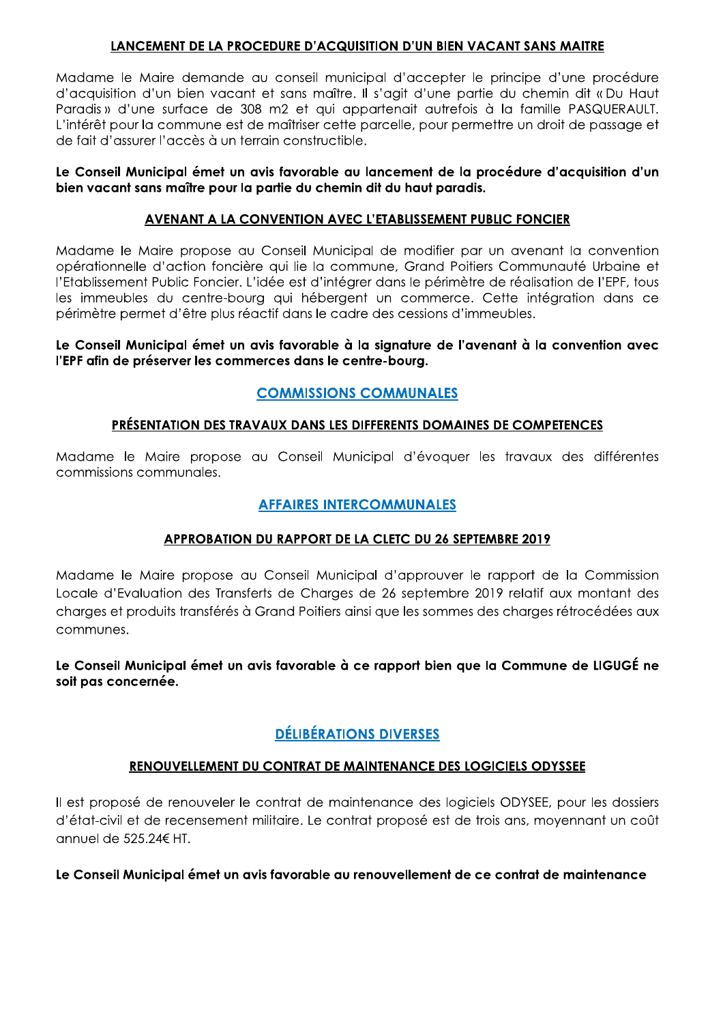### LANCEMENT DE LA PROCEDURE D'ACQUISITION D'UN BIEN VACANT SANS MAITRE

Madame le Maire demande au conseil municipal d'accepter le principe d'une procédure d'acquisition d'un bien vacant et sans maître. Il s'agit d'une partie du chemin dit « Du Haut Paradis » d'une surface de 308 m2 et qui appartenait autrefois à la famille PASQUERAULT. L'intérêt pour la commune est de maîtriser cette parcelle, pour permettre un droit de passage et de fait d'assurer l'accès à un terrain constructible.

### Le Conseil Municipal émet un avis favorable au lancement de la procédure d'acquisition d'un bien vacant sans maître pour la partie du chemin dit du haut paradis.

## **AVENANT A LA CONVENTION AVEC L'ETABLISSEMENT PUBLIC FONCIER**

Madame le Maire propose au Conseil Municipal de modifier par un avenant la convention opérationnelle d'action foncière qui lie la commune, Grand Poitiers Communauté Urbaine et l'Etablissement Public Foncier. L'idée est d'intégrer dans le périmètre de réalisation de l'EPF, tous les immeubles du centre-bourg qui hébergent un commerce. Cette intégration dans ce périmètre permet d'être plus réactif dans le cadre des cessions d'immeubles.

### Le Conseil Municipal émet un avis favorable à la sianature de l'avenant à la convention avec l'EPF afin de préserver les commerces dans le centre-bourg.

## **COMMISSIONS COMMUNALES**

## PRÉSENTATION DES TRAVAUX DANS LES DIFFERENTS DOMAINES DE COMPETENCES

Madame le Maire propose au Conseil Municipal d'évoquer les travaux des différentes commissions communales.

## **AFFAIRES INTERCOMMUNALES**

## APPROBATION DU RAPPORT DE LA CLETC DU 26 SEPTEMBRE 2019

Madame le Maire propose au Conseil Municipal d'approuver le rapport de la Commission Locale d'Evaluation des Transferts de Charaes de 26 septembre 2019 relatif aux montant des charges et produits transférés à Grand Poitiers ainsi que les sommes des charges rétrocédées aux communes.

Le Conseil Municipal émet un avis favorable à ce rapport bien que la Commune de LIGUGÉ ne soit pas concernée.

# **DÉLIBÉRATIONS DIVERSES**

## RENOUVELLEMENT DU CONTRAT DE MAINTENANCE DES LOGICIELS ODYSSEE

Il est proposé de renouveler le contrat de maintenance des logiciels ODYSEE, pour les dossiers d'état-civil et de recensement militaire. Le contrat proposé est de trois ans, moyennant un coût annuel de 525.24€ HT.

### Le Conseil Municipal émet un avis favorable au renouvellement de ce contrat de maintenance